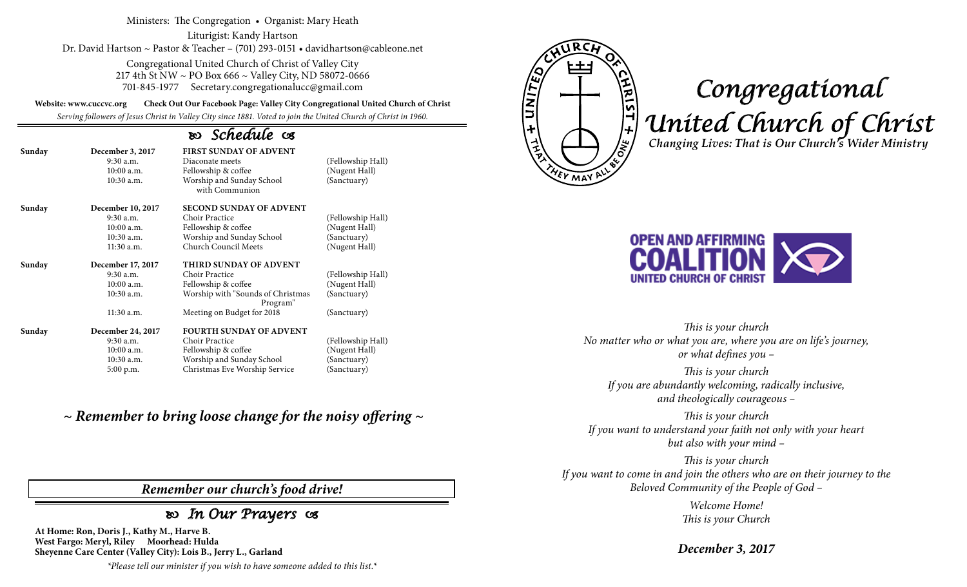Ministers: The Congregation • Organist: Mary Heath

Liturigist: Kandy Hartson Dr. David Hartson ~ Pastor & Teacher – (701) 293-0151 • davidhartson@cableone.net

> Congregational United Church of Christ of Valley City 217 4th St NW ~ PO Box 666 ~ Valley City, ND 58072-0666 701-845-1977 Secretary.congregationalucc@gmail.com

**Website: www.cuccvc.org Check Out Our Facebook Page: Valley City Congregational United Church of Christ**

*Serving followers of Jesus Christ in Valley City since 1881. Voted to join the United Church of Christ in 1960.*

## *Schedule*

| Sunday | December 3, 2017<br>$9:30$ a.m.<br>$10:00$ a.m.<br>10:30 a.m. | <b>FIRST SUNDAY OF ADVENT</b><br>Diaconate meets<br>Fellowship & coffee<br>Worship and Sunday School<br>with Communion | (Fellowship Hall)<br>(Nugent Hall)<br>(Sanctuary) |
|--------|---------------------------------------------------------------|------------------------------------------------------------------------------------------------------------------------|---------------------------------------------------|
| Sunday | December 10, 2017                                             | <b>SECOND SUNDAY OF ADVENT</b>                                                                                         |                                                   |
|        | 9:30 a.m.                                                     | Choir Practice                                                                                                         | (Fellowship Hall)                                 |
|        | $10:00$ a.m.                                                  | Fellowship & coffee                                                                                                    | (Nugent Hall)                                     |
|        | $10:30$ a.m.                                                  | Worship and Sunday School                                                                                              | (Sanctuary)                                       |
|        | 11:30 a.m.                                                    | Church Council Meets                                                                                                   | (Nugent Hall)                                     |
| Sunday | December 17, 2017                                             | THIRD SUNDAY OF ADVENT                                                                                                 |                                                   |
|        | 9:30 a.m.                                                     | Choir Practice                                                                                                         | (Fellowship Hall)                                 |
|        | $10:00$ a.m.                                                  | Fellowship & coffee                                                                                                    | (Nugent Hall)                                     |
|        | 10:30 a.m.                                                    | Worship with "Sounds of Christmas<br>Program"                                                                          | (Sanctuary)                                       |
|        | 11:30 a.m.                                                    | Meeting on Budget for 2018                                                                                             | (Sanctuary)                                       |
| Sunday | December 24, 2017                                             | <b>FOURTH SUNDAY OF ADVENT</b>                                                                                         |                                                   |
|        | 9:30 a.m.                                                     | Choir Practice                                                                                                         | (Fellowship Hall)                                 |
|        | 10:00 a.m.                                                    | Fellowship & coffee                                                                                                    | (Nugent Hall)                                     |
|        | 10:30 a.m.                                                    | Worship and Sunday School                                                                                              | (Sanctuary)                                       |
|        |                                                               | Christmas Eve Worship Service                                                                                          | (Sanctuary)                                       |
|        | $5:00$ p.m.                                                   |                                                                                                                        |                                                   |

*~ Remember to bring loose change for the noisy offering ~*

*Remember our church's food drive!*

## *In Our Prayers*

**At Home: Ron, Doris J., Kathy M., Harve B. West Fargo: Meryl, Riley Moorhead: Hulda Sheyenne Care Center (Valley City): Lois B., Jerry L., Garland**

*\*Please tell our minister if you wish to have someone added to this list.\**



## *Congregational United Church of Christ Changing Lives: That is Our Church's Wider Ministry*



*This is your church No matter who or what you are, where you are on life's journey, or what defines you –*

*This is your church If you are abundantly welcoming, radically inclusive, and theologically courageous –*

*This is your church If you want to understand your faith not only with your heart but also with your mind –*

*This is your church If you want to come in and join the others who are on their journey to the Beloved Community of the People of God –*

> *Welcome Home! This is your Church*

*December 3, 2017*